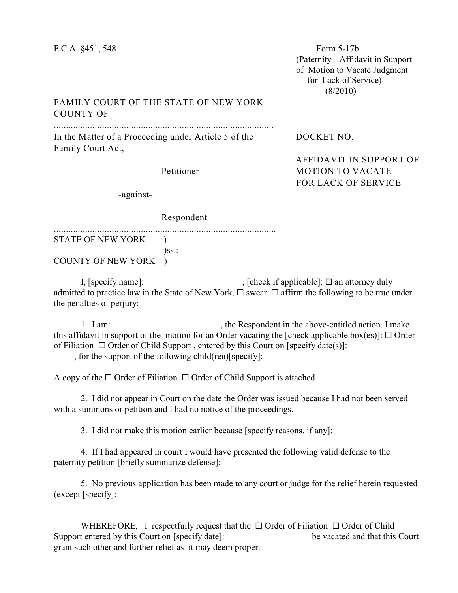(Paternity-- Affidavit in Support of Motion to Vacate Judgment for Lack of Service) (8/2010)

## FAMILY COURT OF THE STATE OF NEW YORK COUNTY OF

...........................................................................................

In the Matter of a Proceeding under Article 5 of the DOCKET NO. Family Court Act,

AFFIDAVIT IN SUPPORT OF Petitioner MOTION TO VACATE FOR LACK OF SERVICE

-against-

Respondent

............................................................................................ STATE OF NEW YORK )

 $)\$ ss.: COUNTY OF NEW YORK )

I, [specify name]:  $\Box$  (check if applicable):  $\Box$  an attorney duly admitted to practice law in the State of New York,  $\Box$  swear  $\Box$  affirm the following to be true under the penalties of perjury:

1. I am: , the Respondent in the above-entitled action. I make this affidavit in support of the motion for an Order vacating the [check applicable box(es)]:  $\Box$  Order of Filiation  $\Box$  Order of Child Support, entered by this Court on [specify date(s)]:

, for the support of the following child(ren)[specify]:

A copy of the  $\Box$  Order of Filiation  $\Box$  Order of Child Support is attached.

2. I did not appear in Court on the date the Order was issued because I had not been served with a summons or petition and I had no notice of the proceedings.

3. I did not make this motion earlier because [specify reasons, if any]:

4. If I had appeared in court I would have presented the following valid defense to the paternity petition [briefly summarize defense]:

5. No previous application has been made to any court or judge for the relief herein requested (except [specify]:

WHEREFORE, I respectfully request that the  $\Box$  Order of Filiation  $\Box$  Order of Child Support entered by this Court on [specify date]: be vacated and that this Court grant such other and further relief as it may deem proper.